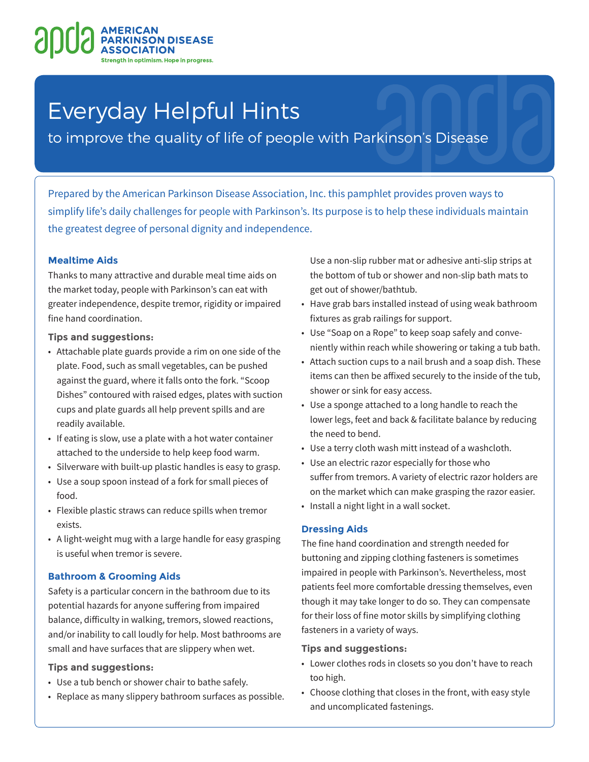# **NSON DISEASE** optimism. Hope in progress.

# Everyday Helpful Hints

to improve the quality of life of people with Parkinson's Disease

Prepared by the American Parkinson Disease Association, Inc. this pamphlet provides proven ways to simplify life's daily challenges for people with Parkinson's. Its purpose is to help these individuals maintain the greatest degree of personal dignity and independence.

# **Mealtime Aids**

Thanks to many attractive and durable meal time aids on the market today, people with Parkinson's can eat with greater independence, despite tremor, rigidity or impaired fine hand coordination.

**Tips and suggestions:**

- Attachable plate guards provide a rim on one side of the plate. Food, such as small vegetables, can be pushed against the guard, where it falls onto the fork. "Scoop Dishes" contoured with raised edges, plates with suction cups and plate guards all help prevent spills and are readily available.
- If eating is slow, use a plate with a hot water container attached to the underside to help keep food warm.
- Silverware with built-up plastic handles is easy to grasp.
- Use a soup spoon instead of a fork for small pieces of food.
- Flexible plastic straws can reduce spills when tremor exists.
- A light-weight mug with a large handle for easy grasping is useful when tremor is severe.

# **Bathroom & Grooming Aids**

Safety is a particular concern in the bathroom due to its potential hazards for anyone suffering from impaired balance, difficulty in walking, tremors, slowed reactions, and/or inability to call loudly for help. Most bathrooms are small and have surfaces that are slippery when wet.

#### **Tips and suggestions:**

- Use a tub bench or shower chair to bathe safely.
- Replace as many slippery bathroom surfaces as possible.

Use a non-slip rubber mat or adhesive anti-slip strips at the bottom of tub or shower and non-slip bath mats to get out of shower/bathtub.

- Have grab bars installed instead of using weak bathroom fixtures as grab railings for support.
- Use "Soap on a Rope" to keep soap safely and conveniently within reach while showering or taking a tub bath.
- Attach suction cups to a nail brush and a soap dish. These items can then be affixed securely to the inside of the tub, shower or sink for easy access.
- Use a sponge attached to a long handle to reach the lower legs, feet and back & facilitate balance by reducing the need to bend.
- Use a terry cloth wash mitt instead of a washcloth.
- Use an electric razor especially for those who suffer from tremors. A variety of electric razor holders are on the market which can make grasping the razor easier.
- Install a night light in a wall socket.

# **Dressing Aids**

The fine hand coordination and strength needed for buttoning and zipping clothing fasteners is sometimes impaired in people with Parkinson's. Nevertheless, most patients feel more comfortable dressing themselves, even though it may take longer to do so. They can compensate for their loss of fine motor skills by simplifying clothing fasteners in a variety of ways.

#### **Tips and suggestions:**

- Lower clothes rods in closets so you don't have to reach too high.
- Choose clothing that closes in the front, with easy style and uncomplicated fastenings.